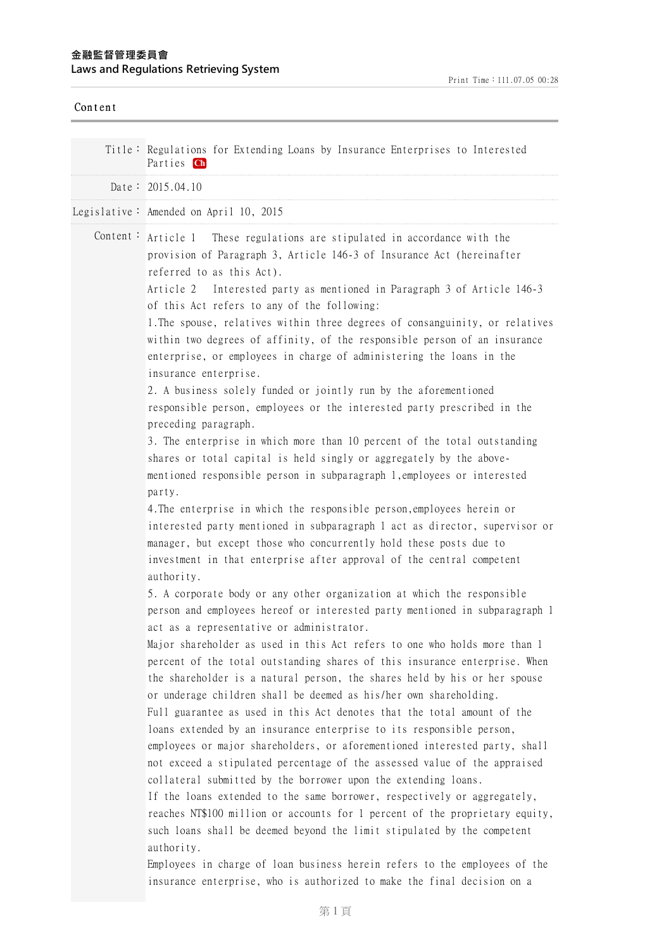## **⾦融監督管理委員會 Laws and Regulations Retrieving System**

| Content |                                                                                                                                                                                                                                                                                                                                                                                                                                                                                                                                                                                                                                                                                                                                                                                                                                                                                                                                                                                                                                                                                                                                                                                                                                                                                                                                                                                                                                                                                                                                                                                                                                                                                                                                                                                                                                                                                                                                                                                                                                                                                                                                                                                                                                                                                                                                                                                                                                                                                                                                                          |
|---------|----------------------------------------------------------------------------------------------------------------------------------------------------------------------------------------------------------------------------------------------------------------------------------------------------------------------------------------------------------------------------------------------------------------------------------------------------------------------------------------------------------------------------------------------------------------------------------------------------------------------------------------------------------------------------------------------------------------------------------------------------------------------------------------------------------------------------------------------------------------------------------------------------------------------------------------------------------------------------------------------------------------------------------------------------------------------------------------------------------------------------------------------------------------------------------------------------------------------------------------------------------------------------------------------------------------------------------------------------------------------------------------------------------------------------------------------------------------------------------------------------------------------------------------------------------------------------------------------------------------------------------------------------------------------------------------------------------------------------------------------------------------------------------------------------------------------------------------------------------------------------------------------------------------------------------------------------------------------------------------------------------------------------------------------------------------------------------------------------------------------------------------------------------------------------------------------------------------------------------------------------------------------------------------------------------------------------------------------------------------------------------------------------------------------------------------------------------------------------------------------------------------------------------------------------------|
|         | Title: Regulations for Extending Loans by Insurance Enterprises to Interested<br>Parties Ch                                                                                                                                                                                                                                                                                                                                                                                                                                                                                                                                                                                                                                                                                                                                                                                                                                                                                                                                                                                                                                                                                                                                                                                                                                                                                                                                                                                                                                                                                                                                                                                                                                                                                                                                                                                                                                                                                                                                                                                                                                                                                                                                                                                                                                                                                                                                                                                                                                                              |
|         | Date: $2015.04.10$                                                                                                                                                                                                                                                                                                                                                                                                                                                                                                                                                                                                                                                                                                                                                                                                                                                                                                                                                                                                                                                                                                                                                                                                                                                                                                                                                                                                                                                                                                                                                                                                                                                                                                                                                                                                                                                                                                                                                                                                                                                                                                                                                                                                                                                                                                                                                                                                                                                                                                                                       |
|         | Legislative: Amended on April 10, 2015                                                                                                                                                                                                                                                                                                                                                                                                                                                                                                                                                                                                                                                                                                                                                                                                                                                                                                                                                                                                                                                                                                                                                                                                                                                                                                                                                                                                                                                                                                                                                                                                                                                                                                                                                                                                                                                                                                                                                                                                                                                                                                                                                                                                                                                                                                                                                                                                                                                                                                                   |
|         | Content: $Article 1$ These regulations are stipulated in accordance with the<br>provision of Paragraph 3, Article 146-3 of Insurance Act (hereinafter<br>referred to as this Act).<br>Article 2<br>Interested party as mentioned in Paragraph 3 of Article 146-3<br>of this Act refers to any of the following:<br>1. The spouse, relatives within three degrees of consanguinity, or relatives<br>within two degrees of affinity, of the responsible person of an insurance<br>enterprise, or employees in charge of administering the loans in the<br>insurance enterprise.<br>2. A business solely funded or jointly run by the aforementioned<br>responsible person, employees or the interested party prescribed in the<br>preceding paragraph.<br>3. The enterprise in which more than 10 percent of the total outstanding<br>shares or total capital is held singly or aggregately by the above-<br>mentioned responsible person in subparagraph 1, employees or interested<br>party.<br>4. The enterprise in which the responsible person, employees herein or<br>interested party mentioned in subparagraph 1 act as director, supervisor or<br>manager, but except those who concurrently hold these posts due to<br>investment in that enterprise after approval of the central competent<br>authority.<br>5. A corporate body or any other organization at which the responsible<br>person and employees hereof or interested party mentioned in subparagraph 1<br>act as a representative or administrator.<br>Major shareholder as used in this Act refers to one who holds more than 1<br>percent of the total outstanding shares of this insurance enterprise. When<br>the shareholder is a natural person, the shares held by his or her spouse<br>or underage children shall be deemed as his/her own shareholding.<br>Full guarantee as used in this Act denotes that the total amount of the<br>loans extended by an insurance enterprise to its responsible person,<br>employees or major shareholders, or aforementioned interested party, shall<br>not exceed a stipulated percentage of the assessed value of the appraised<br>collateral submitted by the borrower upon the extending loans.<br>If the loans extended to the same borrower, respectively or aggregately,<br>reaches NT\$100 million or accounts for 1 percent of the proprietary equity,<br>such loans shall be deemed beyond the limit stipulated by the competent<br>authority.<br>Employees in charge of loan business herein refers to the employees of the |
|         | insurance enterprise, who is authorized to make the final decision on a                                                                                                                                                                                                                                                                                                                                                                                                                                                                                                                                                                                                                                                                                                                                                                                                                                                                                                                                                                                                                                                                                                                                                                                                                                                                                                                                                                                                                                                                                                                                                                                                                                                                                                                                                                                                                                                                                                                                                                                                                                                                                                                                                                                                                                                                                                                                                                                                                                                                                  |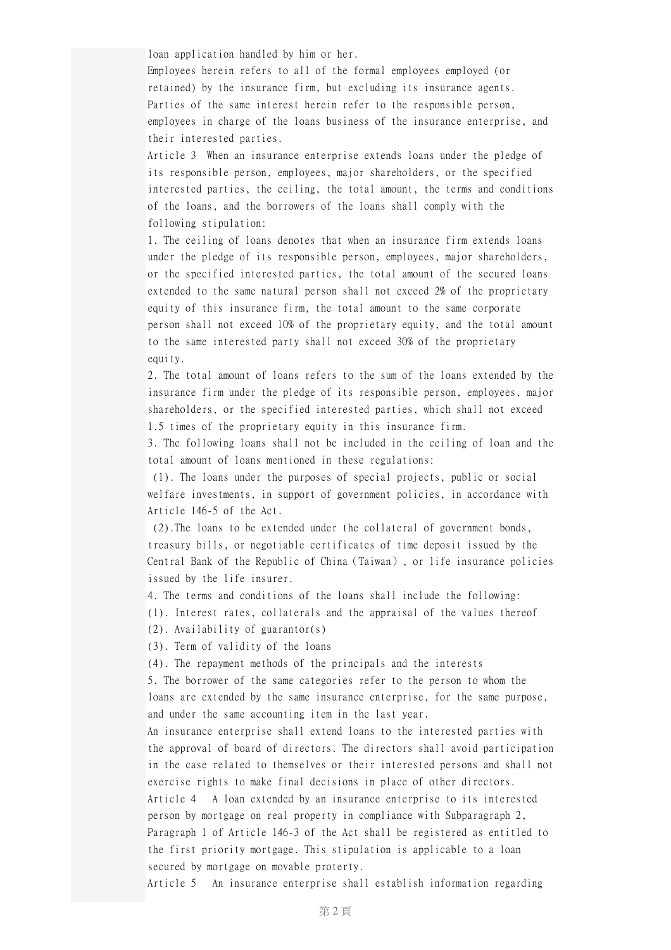loan application handled by him or her.

Employees herein refers to all of the formal employees employed (or retained) by the insurance firm, but excluding its insurance agents. Parties of the same interest herein refer to the responsible person, employees in charge of the loans business of the insurance enterprise, and their interested parties.

Article 3 When an insurance enterprise extends loans under the pledge of its responsible person, employees, major shareholders, or the specified interested parties, the ceiling, the total amount, the terms and conditions of the loans, and the borrowers of the loans shall comply with the following stipulation:

1. The ceiling of loans denotes that when an insurance firm extends loans under the pledge of its responsible person, employees, major shareholders, or the specified interested parties, the total amount of the secured loans extended to the same natural person shall not exceed 2% of the proprietary equity of this insurance firm, the total amount to the same corporate person shall not exceed 10% of the proprietary equity, and the total amount to the same interested party shall not exceed 30% of the proprietary equity.

2. The total amount of loans refers to the sum of the loans extended by the insurance firm under the pledge of its responsible person, employees, major shareholders, or the specified interested parties, which shall not exceed 1.5 times of the proprietary equity in this insurance firm.

3. The following loans shall not be included in the ceiling of loan and the total amount of loans mentioned in these regulations:

(1). The loans under the purposes of special projects, public or social welfare investments, in support of government policies, in accordance with Article 146-5 of the Act.

(2).The loans to be extended under the collateral of government bonds, treasury bills, or negotiable certificates of time deposit issued by the Central Bank of the Republic of China(Taiwan), or life insurance policies issued by the life insurer.

4. The terms and conditions of the loans shall include the following: (1). Interest rates, collaterals and the appraisal of the values thereof

(2). Availability of guarantor(s)

(3). Term of validity of the loans

(4). The repayment methods of the principals and the interests

5. The borrower of the same categories refer to the person to whom the loans are extended by the same insurance enterprise, for the same purpose, and under the same accounting item in the last year.

An insurance enterprise shall extend loans to the interested parties with the approval of board of directors. The directors shall avoid participation in the case related to themselves or their interested persons and shall not exercise rights to make final decisions in place of other directors. Article 4 A loan extended by an insurance enterprise to its interested person by mortgage on real property in compliance with Subparagraph 2, Paragraph 1 of Article 146-3 of the Act shall be registered as entitled to the first priority mortgage. This stipulation is applicable to a loan secured by mortgage on movable proterty.

Article 5 An insurance enterprise shall establish information regarding